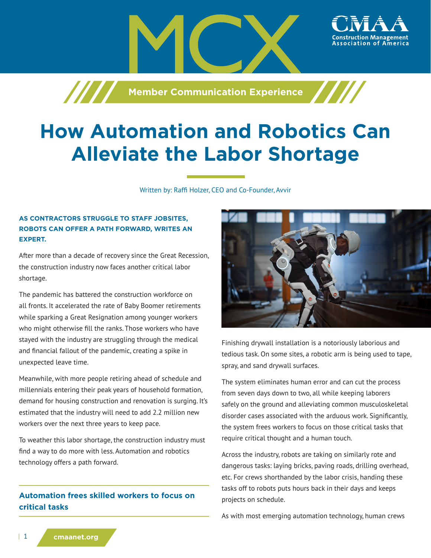**Manufacture 7 / Member Communication Experience** 

# **How Automation and Robotics Can Alleviate the Labor Shortage**

Written by: Raffi Holzer, CEO and Co-Founder, Avvir

#### **AS CONTRACTORS STRUGGLE TO STAFF JOBSITES, ROBOTS CAN OFFER A PATH FORWARD, WRITES AN EXPERT.**

After more than a decade of recovery since the Great Recession, the construction industry now faces another critical labor shortage.

The pandemic has battered the construction workforce on all fronts. It accelerated the rate of Baby Boomer retirements while sparking a Great Resignation among younger workers who might otherwise fill the ranks. Those workers who have stayed with the industry are struggling through the medical and financial fallout of the pandemic, creating a spike in unexpected leave time.

Meanwhile, with more people retiring ahead of schedule and millennials entering their peak years of household formation, demand for housing construction and renovation is surging. It's estimated that the industry will need to add 2.2 million new workers over the next three years to keep pace.

To weather this labor shortage, the construction industry must find a way to do more with less. Automation and robotics technology offers a path forward.

# **Automation frees skilled workers to focus on critical tasks**



ssociation of

Finishing drywall installation is a notoriously laborious and tedious task. On some sites, a robotic arm is being used to tape, spray, and sand drywall surfaces.

The system eliminates human error and can cut the process from seven days down to two, all while keeping laborers safely on the ground and alleviating common musculoskeletal disorder cases associated with the arduous work. Significantly, the system frees workers to focus on those critical tasks that require critical thought and a human touch.

Across the industry, robots are taking on similarly rote and dangerous tasks: laying bricks, paving roads, drilling overhead, etc. For crews shorthanded by the labor crisis, handing these tasks off to robots puts hours back in their days and keeps projects on schedule.

As with most emerging automation technology, human crews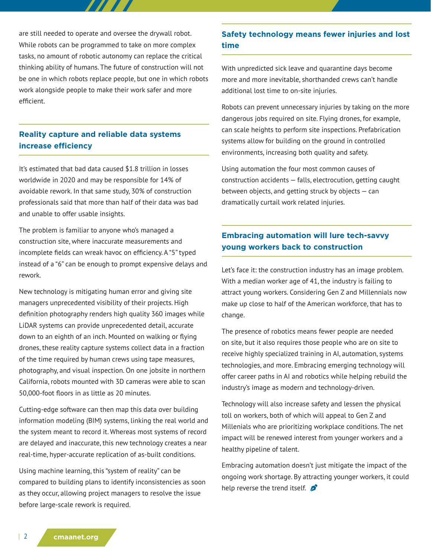are still needed to operate and oversee the drywall robot. While robots can be programmed to take on more complex tasks, no amount of robotic autonomy can replace the critical thinking ability of humans. The future of construction will not be one in which robots replace people, but one in which robots work alongside people to make their work safer and more efficient.

## **Reality capture and reliable data systems increase efficiency**

It's estimated that bad data caused \$1.8 trillion in losses worldwide in 2020 and may be responsible for 14% of avoidable rework. In that same study, 30% of construction professionals said that more than half of their data was bad and unable to offer usable insights.

The problem is familiar to anyone who's managed a construction site, where inaccurate measurements and incomplete fields can wreak havoc on efficiency. A "5" typed instead of a "6" can be enough to prompt expensive delays and rework.

New technology is mitigating human error and giving site managers unprecedented visibility of their projects. High definition photography renders high quality 360 images while LiDAR systems can provide unprecedented detail, accurate down to an eighth of an inch. Mounted on walking or flying drones, these reality capture systems collect data in a fraction of the time required by human crews using tape measures, photography, and visual inspection. On one jobsite in northern California, robots mounted with 3D cameras were able to scan 50,000-foot floors in as little as 20 minutes.

Cutting-edge software can then map this data over building information modeling (BIM) systems, linking the real world and the system meant to record it. Whereas most systems of record are delayed and inaccurate, this new technology creates a near real-time, hyper-accurate replication of as-built conditions.

Using machine learning, this "system of reality" can be compared to building plans to identify inconsistencies as soon as they occur, allowing project managers to resolve the issue before large-scale rework is required.

### **Safety technology means fewer injuries and lost time**

With unpredicted sick leave and quarantine days become more and more inevitable, shorthanded crews can't handle additional lost time to on-site injuries.

Robots can prevent unnecessary injuries by taking on the more dangerous jobs required on site. Flying drones, for example, can scale heights to perform site inspections. Prefabrication systems allow for building on the ground in controlled environments, increasing both quality and safety.

Using automation the four most common causes of construction accidents — falls, electrocution, getting caught between objects, and getting struck by objects  $-$  can dramatically curtail work related injuries.

# **Embracing automation will lure tech-savvy young workers back to construction**

Let's face it: the construction industry has an image problem. With a median worker age of 41, the industry is failing to attract young workers. Considering Gen Z and Millennials now make up close to half of the American workforce, that has to change.

The presence of robotics means fewer people are needed on site, but it also requires those people who are on site to receive highly specialized training in AI, automation, systems technologies, and more. Embracing emerging technology will offer career paths in AI and robotics while helping rebuild the industry's image as modern and technology-driven.

Technology will also increase safety and lessen the physical toll on workers, both of which will appeal to Gen Z and Millenials who are prioritizing workplace conditions. The net impact will be renewed interest from younger workers and a healthy pipeline of talent.

Embracing automation doesn't just mitigate the impact of the ongoing work shortage. By attracting younger workers, it could help reverse the trend itself.  $\beta$